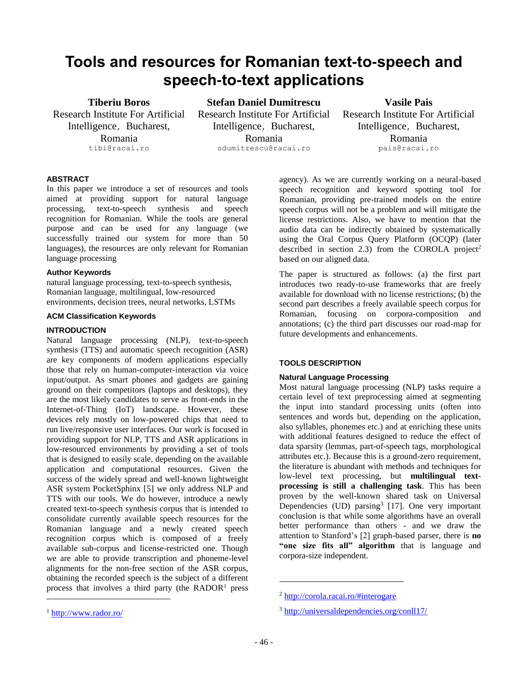# **Tools and resources for Romanian text-to-speech and speech-to-text applications**

# **Tiberiu Boros**

Research Institute For Artificial Intelligence, Bucharest, Romania tibi@racai.ro

**Stefan Daniel Dumitrescu** Research Institute For Artificial Intelligence, Bucharest, Romania sdumitrescu@racai.ro

**Vasile Pais** Research Institute For Artificial

Intelligence, Bucharest, Romania pais@racai.ro

# **ABSTRACT**

In this paper we introduce a set of resources and tools aimed at providing support for natural language processing, text-to-speech synthesis and speech recognition for Romanian. While the tools are general purpose and can be used for any language (we successfully trained our system for more than 50 languages), the resources are only relevant for Romanian language processing

# **Author Keywords**

natural language processing, text-to-speech synthesis, Romanian language, multilingual, low-resourced environments, decision trees, neural networks, LSTMs

# **ACM Classification Keywords**

# **INTRODUCTION**

<sup>1</sup> <http://www.rador.ro/>

Natural language processing (NLP), text-to-speech synthesis (TTS) and automatic speech recognition (ASR) are key components of modern applications especially those that rely on human-computer-interaction via voice input/output. As smart phones and gadgets are gaining ground on their competitors (laptops and desktops), they are the most likely candidates to serve as front-ends in the Internet-of-Thing (IoT) landscape. However, these devices rely mostly on low-powered chips that need to run live/responsive user interfaces. Our work is focused in providing support for NLP, TTS and ASR applications in low-resourced environments by providing a set of tools that is designed to easily scale, depending on the available application and computational resources. Given the success of the widely spread and well-known lightweight ASR system PocketSphinx [5] we only address NLP and TTS with our tools. We do however, introduce a newly created text-to-speech synthesis corpus that is intended to consolidate currently available speech resources for the Romanian language and a newly created speech recognition corpus which is composed of a freely available sub-corpus and license-restricted one. Though we are able to provide transcription and phoneme-level alignments for the non-free section of the ASR corpus, obtaining the recorded speech is the subject of a different process that involves a third party (the RADOR<sup>1</sup> press  $\overline{\phantom{a}}$ 

agency). As we are currently working on a neural-based speech recognition and keyword spotting tool for Romanian, providing pre-trained models on the entire speech corpus will not be a problem and will mitigate the license restrictions. Also, we have to mention that the audio data can be indirectly obtained by systematically using the Oral Corpus Query Platform (OCQP) (later described in section 2.3) from the COROLA project<sup>2</sup> based on our aligned data.

The paper is structured as follows: (a) the first part introduces two ready-to-use frameworks that are freely available for download with no license restrictions; (b) the second part describes a freely available speech corpus for Romanian, focusing on corpora-composition and annotations; (c) the third part discusses our road-map for future developments and enhancements.

# **TOOLS DESCRIPTION**

# **Natural Language Processing**

Most natural language processing (NLP) tasks require a certain level of text preprocessing aimed at segmenting the input into standard processing units (often into sentences and words but, depending on the application, also syllables, phonemes etc.) and at enriching these units with additional features designed to reduce the effect of data sparsity (lemmas, part-of-speech tags, morphological attributes etc.). Because this is a ground-zero requirement, the literature is abundant with methods and techniques for low-level text processing, but **multilingual textprocessing is still a challenging task**. This has been proven by the well-known shared task on Universal Dependencies (UD) parsing<sup>3</sup> [17]. One very important conclusion is that while some algorithms have an overall better performance than others - and we draw the attention to Stanford's [2] graph-based parser, there is **no "one size fits all" algorithm** that is language and corpora-size independent.

 $\overline{a}$ 

<sup>2</sup> <http://corola.racai.ro/#interogare>

<sup>3</sup> <http://universaldependencies.org/conll17/>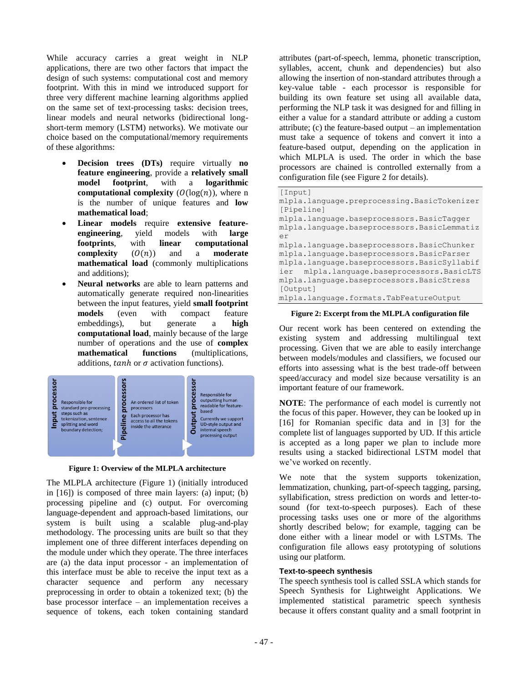While accuracy carries a great weight in NLP applications, there are two other factors that impact the design of such systems: computational cost and memory footprint. With this in mind we introduced support for three very different machine learning algorithms applied on the same set of text-processing tasks: decision trees, linear models and neural networks (bidirectional longshort-term memory (LSTM) networks). We motivate our choice based on the computational/memory requirements of these algorithms:

- **Decision trees (DTs)** require virtually **no feature engineering**, provide a **relatively small model footprint**, with a **logarithmic computational complexity**  $(O(log(n))$ , where n is the number of unique features and **low mathematical load**;
- **Linear models require extensive feature-<br>engineering,** yield models with large **engineering**, yield models with **large footprints**, with **linear computational complexity**  $(O(n))$  and a **moderate mathematical load** (commonly multiplications and additions);
- Neural networks are able to learn patterns and automatically generate required non-linearities between the input features, yield **small footprint models** (even with compact feature embeddings), but generate a **high computational load**, mainly because of the large number of operations and the use of **complex mathematical functions** (multiplications, additions,  $tanh$  or  $\sigma$  activation functions).



**Figure 1: Overview of the MLPLA architecture**

The MLPLA architecture (Figure 1) (initially introduced in [16]) is composed of three main layers: (a) input; (b) processing pipeline and (c) output. For overcoming language-dependent and approach-based limitations, our system is built using a scalable plug-and-play methodology. The processing units are built so that they implement one of three different interfaces depending on the module under which they operate. The three interfaces are (a) the data input processor - an implementation of this interface must be able to receive the input text as a character sequence and perform any necessary preprocessing in order to obtain a tokenized text; (b) the base processor interface – an implementation receives a sequence of tokens, each token containing standard attributes (part-of-speech, lemma, phonetic transcription, syllables, accent, chunk and dependencies) but also allowing the insertion of non-standard attributes through a key-value table - each processor is responsible for building its own feature set using all available data, performing the NLP task it was designed for and filling in either a value for a standard attribute or adding a custom attribute;  $(c)$  the feature-based output – an implementation must take a sequence of tokens and convert it into a feature-based output, depending on the application in which MLPLA is used. The order in which the base processors are chained is controlled externally from a configuration file (see Figure 2 for details).

| [Input]                                       |
|-----------------------------------------------|
| mlpla.language.preprocessing.BasicTokenizer   |
| [Pipeline]                                    |
| mlpla.language.baseprocessors.BasicTagger     |
| mlpla.language.baseprocessors.BasicLemmatiz   |
| er                                            |
| mlpla.language.baseprocessors.BasicChunker    |
| mlpla.language.baseprocessors.BasicParser     |
| mlpla.language.baseprocessors.BasicSyllabif   |
| mlpla.language.baseprocessors.BasicLTS<br>ier |
| mlpla.language.baseprocessors.BasicStress     |
| [Output]                                      |
| mlpla.language.formats.TabFeatureOutput       |

#### **Figure 2: Excerpt from the MLPLA configuration file**

Our recent work has been centered on extending the existing system and addressing multilingual text processing. Given that we are able to easily interchange between models/modules and classifiers, we focused our efforts into assessing what is the best trade-off between speed/accuracy and model size because versatility is an important feature of our framework.

**NOTE**: The performance of each model is currently not the focus of this paper. However, they can be looked up in [16] for Romanian specific data and in [3] for the complete list of languages supported by UD. If this article is accepted as a long paper we plan to include more results using a stacked bidirectional LSTM model that we've worked on recently.

We note that the system supports tokenization, lemmatization, chunking, part-of-speech tagging, parsing, syllabification, stress prediction on words and letter-tosound (for text-to-speech purposes). Each of these processing tasks uses one or more of the algorithms shortly described below; for example, tagging can be done either with a linear model or with LSTMs. The configuration file allows easy prototyping of solutions using our platform.

#### **Text-to-speech synthesis**

The speech synthesis tool is called SSLA which stands for Speech Synthesis for Lightweight Applications. We implemented statistical parametric speech synthesis because it offers constant quality and a small footprint in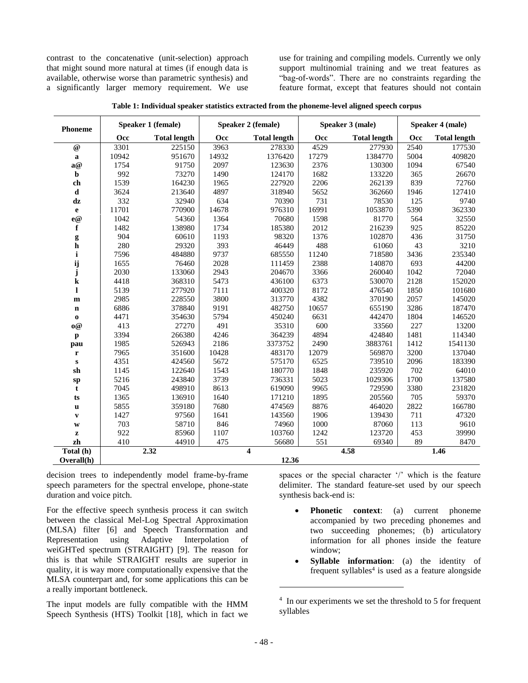contrast to the concatenative (unit-selection) approach that might sound more natural at times (if enough data is available, otherwise worse than parametric synthesis) and a significantly larger memory requirement. We use

use for training and compiling models. Currently we only support multinomial training and we treat features as "bag-of-words". There are no constraints regarding the feature format, except that features should not contain

| <b>Phoneme</b> | Speaker 1 (female) |                     | Speaker 2 (female) |                         | Speaker 3 (male) |                     | Speaker 4 (male) |                     |
|----------------|--------------------|---------------------|--------------------|-------------------------|------------------|---------------------|------------------|---------------------|
|                | Occ                | <b>Total length</b> | Occ                | <b>Total length</b>     | Occ              | <b>Total length</b> | Occ              | <b>Total length</b> |
| $\omega$       | 3301               | 225150              | 3963               | 278330                  | 4529             | 277930              | 2540             | 177530              |
| $\mathbf a$    | 10942              | 951670              | 14932              | 1376420                 | 17279            | 1384770             | 5004             | 409820              |
| a@             | 1754               | 91750               | 2097               | 123630                  | 2376             | 130300              | 1094             | 67540               |
| $\mathbf b$    | 992                | 73270               | 1490               | 124170                  | 1682             | 133220              | 365              | 26670               |
| ch             | 1539               | 164230              | 1965               | 227920                  | 2206             | 262139              | 839              | 72760               |
| $\mathbf d$    | 3624               | 213640              | 4897               | 318940                  | 5652             | 362660              | 1946             | 127410              |
| dz             | 332                | 32940               | 634                | 70390                   | 731              | 78530               | 125              | 9740                |
| $\mathbf e$    | 11701              | 770900              | 14678              | 976310                  | 16991            | 1053870             | 5390             | 362330              |
| e@             | 1042               | 54360               | 1364               | 70680                   | 1598             | 81770               | 564              | 32550               |
| $\mathbf f$    | 1482               | 138980              | 1734               | 185380                  | 2012             | 216239              | 925              | 85220               |
|                | 904                | 60610               | 1193               | 98320                   | 1376             | 102870              | 436              | 31750               |
| $\frac{g}{h}$  | 280                | 29320               | 393                | 46449                   | 488              | 61060               | 43               | 3210                |
| $\mathbf i$    | 7596               | 484880              | 9737               | 685550                  | 11240            | 718580              | 3436             | 235340              |
| ij<br>j        | 1655               | 76460               | 2028               | 111459                  | 2388             | 140870              | 693              | 44200               |
|                | 2030               | 133060              | 2943               | 204670                  | 3366             | 260040              | 1042             | 72040               |
| ${\bf k}$      | 4418               | 368310              | 5473               | 436100                  | 6373             | 530070              | 2128             | 152020              |
| $\mathbf{l}$   | 5139               | 277920              | 7111               | 400320                  | 8172             | 476540              | 1850             | 101680              |
| $\mathbf m$    | 2985               | 228550              | 3800               | 313770                  | 4382             | 370190              | 2057             | 145020              |
| $\mathbf n$    | 6886               | 378840              | 9191               | 482750                  | 10657            | 655190              | 3286             | 187470              |
| $\bf o$        | 4471               | 354630              | 5794               | 450240                  | 6631             | 442470              | 1804             | 146520              |
| $\mathbf{0} @$ | 413                | 27270               | 491                | 35310                   | 600              | 33560               | 227              | 13200               |
| $\mathbf{p}$   | 3394               | 266380              | 4246               | 364239                  | 4894             | 424840              | 1481             | 114340              |
| pau            | 1985               | 526943              | 2186               | 3373752                 | 2490             | 3883761             | 1412             | 1541130             |
| $\mathbf r$    | 7965               | 351600              | 10428              | 483170                  | 12079            | 569870              | 3200             | 137040              |
| ${\bf S}$      | 4351               | 424560              | 5672               | 575170                  | 6525             | 739510              | 2096             | 183390              |
| sh             | 1145               | 122640              | 1543               | 180770                  | 1848             | 235920              | 702              | 64010               |
| ${\bf sp}$     | 5216               | 243840              | 3739               | 736331                  | 5023             | 1029306             | 1700             | 137580              |
| t              | 7045               | 498910              | 8613               | 619090                  | 9965             | 729590              | 3380             | 231820              |
| ts             | 1365               | 136910              | 1640               | 171210                  | 1895             | 205560              | 705              | 59370               |
| $\mathbf u$    | 5855               | 359180              | 7680               | 474569                  | 8876             | 464020              | 2822             | 166780              |
| $\mathbf{v}$   | 1427               | 97560               | 1641               | 143560                  | 1906             | 139430              | 711              | 47320               |
| $\mathbf{W}$   | 703                | 58710               | 846                | 74960                   | 1000             | 87060               | 113              | 9610                |
| $\mathbf{z}$   | 922                | 85960               | 1107               | 103760                  | 1242             | 123720              | 453              | 39990               |
| zh             | 410                | 44910               | 475                | 56680                   | 551              | 69340               | 89               | 8470                |
| Total (h)      |                    | 2.32                |                    | $\overline{\mathbf{4}}$ |                  | 4.58                |                  | 1.46                |
| Overall(h)     |                    |                     |                    | 12.36                   |                  |                     |                  |                     |

|  | Table 1: Individual speaker statistics extracted from the phoneme-level aligned speech corpus |  |  |
|--|-----------------------------------------------------------------------------------------------|--|--|
|  |                                                                                               |  |  |

decision trees to independently model frame-by-frame speech parameters for the spectral envelope, phone-state duration and voice pitch.

For the effective speech synthesis process it can switch between the classical Mel-Log Spectral Approximation (MLSA) filter [6] and Speech Transformation and Representation using Adaptive Interpolation of weiGHTed spectrum (STRAIGHT) [9]. The reason for this is that while STRAIGHT results are superior in quality, it is way more computationally expensive that the MLSA counterpart and, for some applications this can be a really important bottleneck.

The input models are fully compatible with the HMM Speech Synthesis (HTS) Toolkit [18], which in fact we spaces or the special character '/' which is the feature delimiter. The standard feature-set used by our speech synthesis back-end is:

- **Phonetic context**: (a) current phoneme accompanied by two preceding phonemes and two succeeding phonemes; (b) articulatory information for all phones inside the feature window;
- **Syllable information**: (a) the identity of frequent syllables<sup>4</sup> is used as a feature alongside

 $\overline{a}$ 

<sup>&</sup>lt;sup>4</sup> In our experiments we set the threshold to 5 for frequent syllables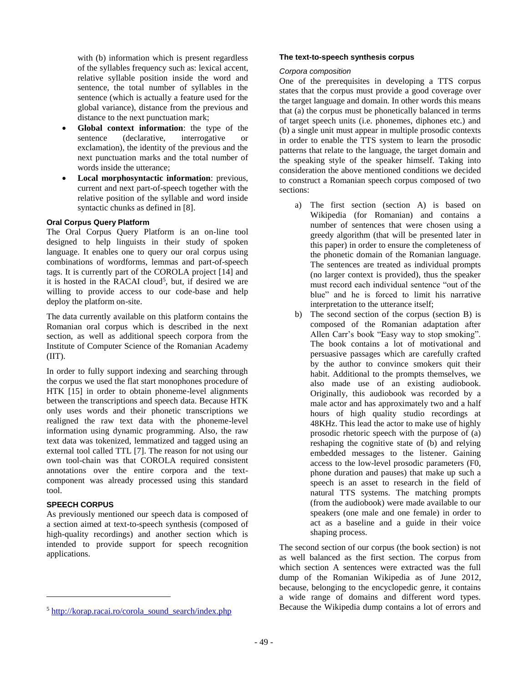with (b) information which is present regardless of the syllables frequency such as: lexical accent, relative syllable position inside the word and sentence, the total number of syllables in the sentence (which is actually a feature used for the global variance), distance from the previous and distance to the next punctuation mark;

- **Global context information**: the type of the sentence (declarative, interrogative or exclamation), the identity of the previous and the next punctuation marks and the total number of words inside the utterance;
- **Local morphosyntactic information**: previous, current and next part-of-speech together with the relative position of the syllable and word inside syntactic chunks as defined in [8].

#### **Oral Corpus Query Platform**

The Oral Corpus Query Platform is an on-line tool designed to help linguists in their study of spoken language. It enables one to query our oral corpus using combinations of wordforms, lemmas and part-of-speech tags. It is currently part of the COROLA project [14] and it is hosted in the RACAI cloud<sup>5</sup>, but, if desired we are willing to provide access to our code-base and help deploy the platform on-site.

The data currently available on this platform contains the Romanian oral corpus which is described in the next section, as well as additional speech corpora from the Institute of Computer Science of the Romanian Academy  $(III).$ 

In order to fully support indexing and searching through the corpus we used the flat start monophones procedure of HTK [15] in order to obtain phoneme-level alignments between the transcriptions and speech data. Because HTK only uses words and their phonetic transcriptions we realigned the raw text data with the phoneme-level information using dynamic programming. Also, the raw text data was tokenized, lemmatized and tagged using an external tool called TTL [7]. The reason for not using our own tool-chain was that COROLA required consistent annotations over the entire corpora and the textcomponent was already processed using this standard tool.

# **SPEECH CORPUS**

l

As previously mentioned our speech data is composed of a section aimed at text-to-speech synthesis (composed of high-quality recordings) and another section which is intended to provide support for speech recognition applications.

#### **The text-to-speech synthesis corpus**

#### *Corpora composition*

One of the prerequisites in developing a TTS corpus states that the corpus must provide a good coverage over the target language and domain. In other words this means that (a) the corpus must be phonetically balanced in terms of target speech units (i.e. phonemes, diphones etc.) and (b) a single unit must appear in multiple prosodic contexts in order to enable the TTS system to learn the prosodic patterns that relate to the language, the target domain and the speaking style of the speaker himself. Taking into consideration the above mentioned conditions we decided to construct a Romanian speech corpus composed of two sections:

- a) The first section (section A) is based on Wikipedia (for Romanian) and contains a number of sentences that were chosen using a greedy algorithm (that will be presented later in this paper) in order to ensure the completeness of the phonetic domain of the Romanian language. The sentences are treated as individual prompts (no larger context is provided), thus the speaker must record each individual sentence "out of the blue" and he is forced to limit his narrative interpretation to the utterance itself;
- b) The second section of the corpus (section B) is composed of the Romanian adaptation after Allen Carr's book "Easy way to stop smoking". The book contains a lot of motivational and persuasive passages which are carefully crafted by the author to convince smokers quit their habit. Additional to the prompts themselves, we also made use of an existing audiobook. Originally, this audiobook was recorded by a male actor and has approximately two and a half hours of high quality studio recordings at 48KHz. This lead the actor to make use of highly prosodic rhetoric speech with the purpose of (a) reshaping the cognitive state of (b) and relying embedded messages to the listener. Gaining access to the low-level prosodic parameters (F0, phone duration and pauses) that make up such a speech is an asset to research in the field of natural TTS systems. The matching prompts (from the audiobook) were made available to our speakers (one male and one female) in order to act as a baseline and a guide in their voice shaping process.

The second section of our corpus (the book section) is not as well balanced as the first section. The corpus from which section A sentences were extracted was the full dump of the Romanian Wikipedia as of June 2012, because, belonging to the encyclopedic genre, it contains a wide range of domains and different word types. Because the Wikipedia dump contains a lot of errors and

<sup>5</sup> [http://korap.racai.ro/corola\\_sound\\_search/index.php](http://korap.racai.ro/corola_sound_search/index.php)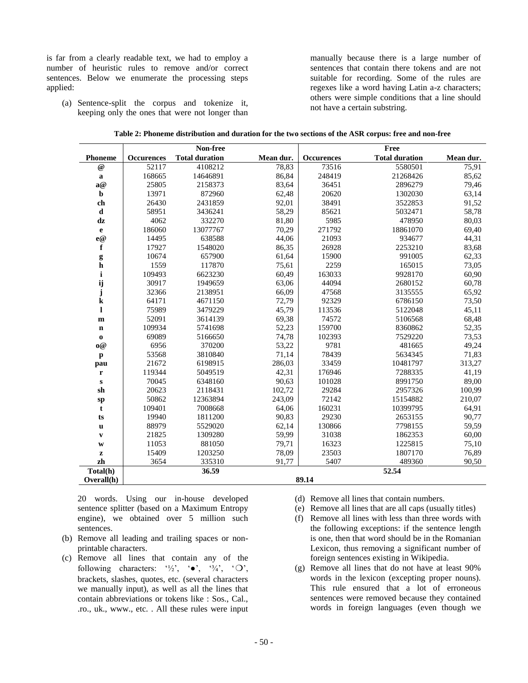is far from a clearly readable text, we had to employ a number of heuristic rules to remove and/or correct sentences. Below we enumerate the processing steps applied:

(a) Sentence-split the corpus and tokenize it, keeping only the ones that were not longer than manually because there is a large number of sentences that contain there tokens and are not suitable for recording. Some of the rules are regexes like a word having Latin a-z characters; others were simple conditions that a line should not have a certain substring.

|                | Non-free          |                       |           | Free              |                       |           |  |
|----------------|-------------------|-----------------------|-----------|-------------------|-----------------------|-----------|--|
| <b>Phoneme</b> | <b>Occurences</b> | <b>Total duration</b> | Mean dur. | <b>Occurences</b> | <b>Total duration</b> | Mean dur. |  |
| $\omega$       | 52117             | 4108212               | 78,83     | 73516             | 5580501               | 75,91     |  |
| $\bf a$        | 168665            | 14646891              | 86,84     | 248419            | 21268426              | 85,62     |  |
| a@             | 25805             | 2158373               | 83,64     | 36451             | 2896279               | 79,46     |  |
| $\mathbf b$    | 13971             | 872960                | 62,48     | 20620             | 1302030               | 63,14     |  |
| ch             | 26430             | 2431859               | 92,01     | 38491             | 3522853               | 91,52     |  |
| d              | 58951             | 3436241               | 58,29     | 85621             | 5032471               | 58,78     |  |
| dz             | 4062              | 332270                | 81,80     | 5985              | 478950                | 80,03     |  |
| $\mathbf e$    | 186060            | 13077767              | 70,29     | 271792            | 18861070              | 69,40     |  |
| e@             | 14495             | 638588                | 44,06     | 21093             | 934677                | 44,31     |  |
| f              | 17927             | 1548020               | 86,35     | 26928             | 2253210               | 83,68     |  |
| g              | 10674             | 657900                | 61,64     | 15900             | 991005                | 62,33     |  |
| h              | 1559              | 117870                | 75,61     | 2259              | 165015                | 73,05     |  |
| i              | 109493            | 6623230               | 60,49     | 163033            | 9928170               | 60,90     |  |
| ij             | 30917             | 1949659               | 63,06     | 44094             | 2680152               | 60,78     |  |
| ${\bf j}$      | 32366             | 2138951               | 66,09     | 47568             | 3135555               | 65,92     |  |
| $\bf k$        | 64171             | 4671150               | 72,79     | 92329             | 6786150               | 73,50     |  |
| $\mathbf{l}$   | 75989             | 3479229               | 45,79     | 113536            | 5122048               | 45,11     |  |
| m              | 52091             | 3614139               | 69,38     | 74572             | 5106568               | 68,48     |  |
| $\mathbf n$    | 109934            | 5741698               | 52,23     | 159700            | 8360862               | 52,35     |  |
| $\mathbf{o}$   | 69089             | 5166650               | 74,78     | 102393            | 7529220               | 73,53     |  |
| $\mathbf{0} @$ | 6956              | 370200                | 53,22     | 9781              | 481665                | 49,24     |  |
| $\mathbf{p}$   | 53568             | 3810840               | 71,14     | 78439             | 5634345               | 71,83     |  |
| pau            | 21672             | 6198915               | 286,03    | 33459             | 10481797              | 313,27    |  |
| $\mathbf r$    | 119344            | 5049519               | 42,31     | 176946            | 7288335               | 41,19     |  |
| ${\bf S}$      | 70045             | 6348160               | 90,63     | 101028            | 8991750               | 89,00     |  |
| sh             | 20623             | 2118431               | 102,72    | 29284             | 2957326               | 100,99    |  |
| ${\bf sp}$     | 50862             | 12363894              | 243,09    | 72142             | 15154882              | 210,07    |  |
| t              | 109401            | 7008668               | 64,06     | 160231            | 10399795              | 64,91     |  |
| ts             | 19940             | 1811200               | 90,83     | 29230             | 2653155               | 90,77     |  |
| $\mathbf u$    | 88979             | 5529020               | 62,14     | 130866            | 7798155               | 59,59     |  |
| $\mathbf{v}$   | 21825             | 1309280               | 59,99     | 31038             | 1862353               | 60,00     |  |
| W              | 11053             | 881050                | 79,71     | 16323             | 1225815               | 75,10     |  |
| $\mathbf{z}$   | 15409             | 1203250               | 78,09     | 23503             | 1807170               | 76,89     |  |
| zh             | 3654              | 335310                | 91.77     | 5407              | 489360                | 90,50     |  |
| Total(h)       |                   | 36.59                 |           |                   | 52.54                 |           |  |
| Overall(h)     |                   |                       |           | 89.14             |                       |           |  |

| Table 2: Phoneme distribution and duration for the two sections of the ASR corpus: free and non-free |  |
|------------------------------------------------------------------------------------------------------|--|
|------------------------------------------------------------------------------------------------------|--|

20 words. Using our in-house developed sentence splitter (based on a Maximum Entropy engine), we obtained over 5 million such sentences.

- (b) Remove all leading and trailing spaces or nonprintable characters.
- (c) Remove all lines that contain any of the following characters: ' $\frac{1}{2}$ ', ' $\bullet$ ', ' $\frac{3}{4}$ ', ' $\bigcirc$ ', brackets, slashes, quotes, etc. (several characters we manually input), as well as all the lines that contain abbreviations or tokens like : Sos., Cal., .ro., uk., www., etc. . All these rules were input
- (d) Remove all lines that contain numbers.
- (e) Remove all lines that are all caps (usually titles)
- (f) Remove all lines with less than three words with the following exceptions: if the sentence length is one, then that word should be in the Romanian Lexicon, thus removing a significant number of foreign sentences existing in Wikipedia.
- (g) Remove all lines that do not have at least 90% words in the lexicon (excepting proper nouns). This rule ensured that a lot of erroneous sentences were removed because they contained words in foreign languages (even though we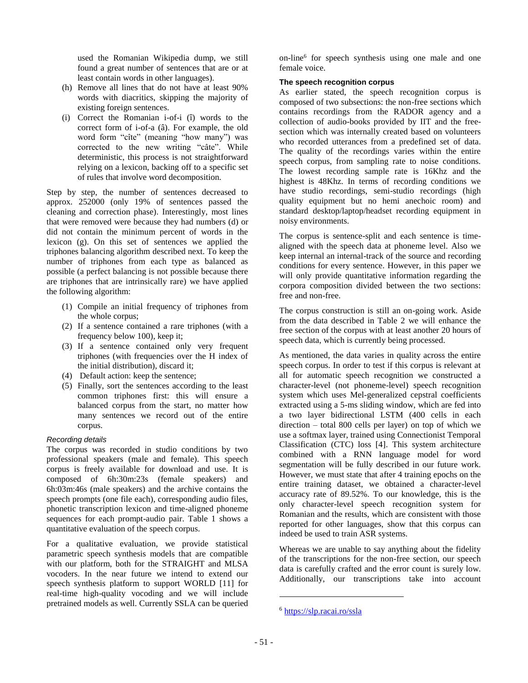used the Romanian Wikipedia dump, we still found a great number of sentences that are or at least contain words in other languages).

- (h) Remove all lines that do not have at least 90% words with diacritics, skipping the majority of existing foreign sentences.
- (i) Correct the Romanian i-of-i (î) words to the correct form of i-of-a (â). For example, the old word form "cîte" (meaning "how many") was corrected to the new writing "câte". While deterministic, this process is not straightforward relying on a lexicon, backing off to a specific set of rules that involve word decomposition.

Step by step, the number of sentences decreased to approx. 252000 (only 19% of sentences passed the cleaning and correction phase). Interestingly, most lines that were removed were because they had numbers (d) or did not contain the minimum percent of words in the lexicon (g). On this set of sentences we applied the triphones balancing algorithm described next. To keep the number of triphones from each type as balanced as possible (a perfect balancing is not possible because there are triphones that are intrinsically rare) we have applied the following algorithm:

- (1) Compile an initial frequency of triphones from the whole corpus;
- (2) If a sentence contained a rare triphones (with a frequency below 100), keep it;
- (3) If a sentence contained only very frequent triphones (with frequencies over the H index of the initial distribution), discard it;
- (4) Default action: keep the sentence;
- (5) Finally, sort the sentences according to the least common triphones first: this will ensure a balanced corpus from the start, no matter how many sentences we record out of the entire corpus.

# *Recording details*

The corpus was recorded in studio conditions by two professional speakers (male and female). This speech corpus is freely available for download and use. It is composed of 6h:30m:23s (female speakers) and 6h:03m:46s (male speakers) and the archive contains the speech prompts (one file each), corresponding audio files, phonetic transcription lexicon and time-aligned phoneme sequences for each prompt-audio pair. Table 1 shows a quantitative evaluation of the speech corpus.

For a qualitative evaluation, we provide statistical parametric speech synthesis models that are compatible with our platform, both for the STRAIGHT and MLSA vocoders. In the near future we intend to extend our speech synthesis platform to support WORLD [11] for real-time high-quality vocoding and we will include pretrained models as well. Currently SSLA can be queried

on-line<sup>6</sup> for speech synthesis using one male and one female voice.

#### **The speech recognition corpus**

As earlier stated, the speech recognition corpus is composed of two subsections: the non-free sections which contains recordings from the RADOR agency and a collection of audio-books provided by IIT and the freesection which was internally created based on volunteers who recorded utterances from a predefined set of data. The quality of the recordings varies within the entire speech corpus, from sampling rate to noise conditions. The lowest recording sample rate is 16Khz and the highest is 48Khz. In terms of recording conditions we have studio recordings, semi-studio recordings (high quality equipment but no hemi anechoic room) and standard desktop/laptop/headset recording equipment in noisy environments.

The corpus is sentence-split and each sentence is timealigned with the speech data at phoneme level. Also we keep internal an internal-track of the source and recording conditions for every sentence. However, in this paper we will only provide quantitative information regarding the corpora composition divided between the two sections: free and non-free.

The corpus construction is still an on-going work. Aside from the data described in Table 2 we will enhance the free section of the corpus with at least another 20 hours of speech data, which is currently being processed.

As mentioned, the data varies in quality across the entire speech corpus. In order to test if this corpus is relevant at all for automatic speech recognition we constructed a character-level (not phoneme-level) speech recognition system which uses Mel-generalized cepstral coefficients extracted using a 5-ms sliding window, which are fed into a two layer bidirectional LSTM (400 cells in each direction – total 800 cells per layer) on top of which we use a softmax layer, trained using Connectionist Temporal Classification (CTC) loss [4]. This system architecture combined with a RNN language model for word segmentation will be fully described in our future work. However, we must state that after 4 training epochs on the entire training dataset, we obtained a character-level accuracy rate of 89.52%. To our knowledge, this is the only character-level speech recognition system for Romanian and the results, which are consistent with those reported for other languages, show that this corpus can indeed be used to train ASR systems.

Whereas we are unable to say anything about the fidelity of the transcriptions for the non-free section, our speech data is carefully crafted and the error count is surely low. Additionally, our transcriptions take into account

l

<sup>6</sup> <https://slp.racai.ro/ssla>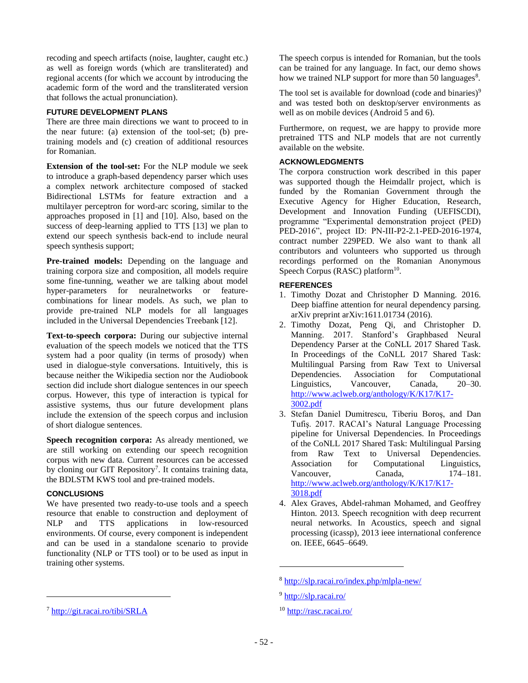recoding and speech artifacts (noise, laughter, caught etc.) as well as foreign words (which are transliterated) and regional accents (for which we account by introducing the academic form of the word and the transliterated version that follows the actual pronunciation).

#### **FUTURE DEVELOPMENT PLANS**

There are three main directions we want to proceed to in the near future: (a) extension of the tool-set; (b) pretraining models and (c) creation of additional resources for Romanian.

**Extension of the tool-set:** For the NLP module we seek to introduce a graph-based dependency parser which uses a complex network architecture composed of stacked Bidirectional LSTMs for feature extraction and a multilayer perceptron for word-arc scoring, similar to the approaches proposed in [1] and [10]. Also, based on the success of deep-learning applied to TTS [13] we plan to extend our speech synthesis back-end to include neural speech synthesis support;

**Pre-trained models:** Depending on the language and training corpora size and composition, all models require some fine-tunning, weather we are talking about model hyper-parameters for neuralnetworks or featurecombinations for linear models. As such, we plan to provide pre-trained NLP models for all languages included in the Universal Dependencies Treebank [12].

**Text-to-speech corpora:** During our subjective internal evaluation of the speech models we noticed that the TTS system had a poor quality (in terms of prosody) when used in dialogue-style conversations. Intuitively, this is because neither the Wikipedia section nor the Audiobook section did include short dialogue sentences in our speech corpus. However, this type of interaction is typical for assistive systems, thus our future development plans include the extension of the speech corpus and inclusion of short dialogue sentences.

**Speech recognition corpora:** As already mentioned, we are still working on extending our speech recognition corpus with new data. Current resources can be accessed by cloning our GIT Repository<sup>7</sup>. It contains training data, the BDLSTM KWS tool and pre-trained models.

#### **CONCLUSIONS**

l

We have presented two ready-to-use tools and a speech resource that enable to construction and deployment of NLP and TTS applications in low-resourced environments. Of course, every component is independent and can be used in a standalone scenario to provide functionality (NLP or TTS tool) or to be used as input in training other systems.

The speech corpus is intended for Romanian, but the tools can be trained for any language. In fact, our demo shows how we trained NLP support for more than 50 languages<sup>8</sup>.

The tool set is available for download (code and binaries) $9$ and was tested both on desktop/server environments as well as on mobile devices (Android 5 and 6).

Furthermore, on request, we are happy to provide more pretrained TTS and NLP models that are not currently available on the website.

#### **ACKNOWLEDGMENTS**

The corpora construction work described in this paper was supported though the Heimdallr project, which is funded by the Romanian Government through the Executive Agency for Higher Education, Research, Development and Innovation Funding (UEFISCDI), programme "Experimental demonstration project (PED) PED-2016", project ID: PN-III-P2-2.1-PED-2016-1974, contract number 229PED. We also want to thank all contributors and volunteers who supported us through recordings performed on the Romanian Anonymous Speech Corpus (RASC) platform $10$ .

#### **REFERENCES**

- 1. Timothy Dozat and Christopher D Manning. 2016. Deep biaffine attention for neural dependency parsing. arXiv preprint arXiv:1611.01734 (2016).
- 2. Timothy Dozat, Peng Qi, and Christopher D. Manning. 2017. Stanford's Graphbased Neural Dependency Parser at the CoNLL 2017 Shared Task. In Proceedings of the CoNLL 2017 Shared Task: Multilingual Parsing from Raw Text to Universal Dependencies. Association for Computational Linguistics, Vancouver, Canada, 20–30. [http://www.aclweb.org/anthology/K/K17/K17-](http://www.aclweb.org/anthology/K/K17/K17-3002.pdf) [3002.pdf](http://www.aclweb.org/anthology/K/K17/K17-3002.pdf)
- 3. Stefan Daniel Dumitrescu, Tiberiu Boroş, and Dan Tufiş. 2017. RACAI's Natural Language Processing pipeline for Universal Dependencies. In Proceedings of the CoNLL 2017 Shared Task: Multilingual Parsing from Raw Text to Universal Dependencies. Association for Computational Linguistics, Vancouver, Canada, 174–181. [http://www.aclweb.org/anthology/K/K17/K17-](http://www.aclweb.org/anthology/K/K17/K17-3018.pdf) [3018.pdf](http://www.aclweb.org/anthology/K/K17/K17-3018.pdf)
- 4. Alex Graves, Abdel-rahman Mohamed, and Geoffrey Hinton. 2013. Speech recognition with deep recurrent neural networks. In Acoustics, speech and signal processing (icassp), 2013 ieee international conference on. IEEE, 6645–6649.

l

<sup>7</sup> <http://git.racai.ro/tibi/SRLA>

<sup>8</sup> <http://slp.racai.ro/index.php/mlpla-new/>

<sup>9</sup> <http://slp.racai.ro/>

<sup>&</sup>lt;sup>10</sup> <http://rasc.racai.ro/>